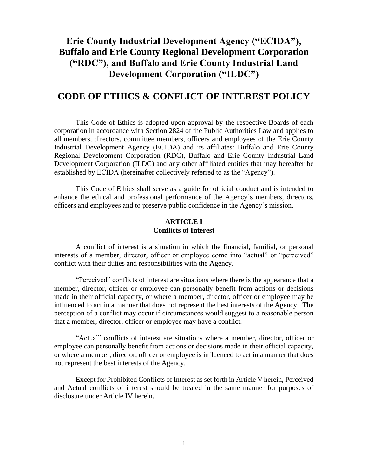# **Erie County Industrial Development Agency ("ECIDA"), Buffalo and Erie County Regional Development Corporation ("RDC"), and Buffalo and Erie County Industrial Land Development Corporation ("ILDC")**

# **CODE OF ETHICS & CONFLICT OF INTEREST POLICY**

This Code of Ethics is adopted upon approval by the respective Boards of each corporation in accordance with Section 2824 of the Public Authorities Law and applies to all members, directors, committee members, officers and employees of the Erie County Industrial Development Agency (ECIDA) and its affiliates: Buffalo and Erie County Regional Development Corporation (RDC), Buffalo and Erie County Industrial Land Development Corporation (ILDC) and any other affiliated entities that may hereafter be established by ECIDA (hereinafter collectively referred to as the "Agency").

This Code of Ethics shall serve as a guide for official conduct and is intended to enhance the ethical and professional performance of the Agency's members, directors, officers and employees and to preserve public confidence in the Agency's mission.

#### **ARTICLE I Conflicts of Interest**

A conflict of interest is a situation in which the financial, familial, or personal interests of a member, director, officer or employee come into "actual" or "perceived" conflict with their duties and responsibilities with the Agency.

"Perceived" conflicts of interest are situations where there is the appearance that a member, director, officer or employee can personally benefit from actions or decisions made in their official capacity, or where a member, director, officer or employee may be influenced to act in a manner that does not represent the best interests of the Agency. The perception of a conflict may occur if circumstances would suggest to a reasonable person that a member, director, officer or employee may have a conflict.

"Actual" conflicts of interest are situations where a member, director, officer or employee can personally benefit from actions or decisions made in their official capacity, or where a member, director, officer or employee is influenced to act in a manner that does not represent the best interests of the Agency.

Except for Prohibited Conflicts of Interest as set forth in Article V herein, Perceived and Actual conflicts of interest should be treated in the same manner for purposes of disclosure under Article IV herein.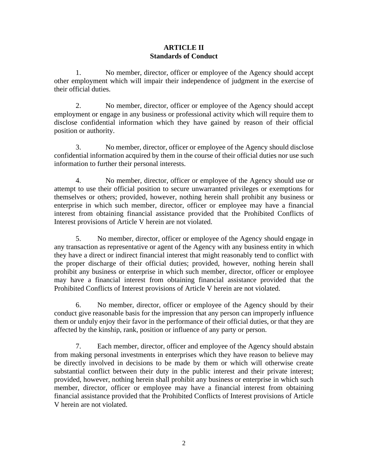# **ARTICLE II Standards of Conduct**

1. No member, director, officer or employee of the Agency should accept other employment which will impair their independence of judgment in the exercise of their official duties.

2. No member, director, officer or employee of the Agency should accept employment or engage in any business or professional activity which will require them to disclose confidential information which they have gained by reason of their official position or authority.

3. No member, director, officer or employee of the Agency should disclose confidential information acquired by them in the course of their official duties nor use such information to further their personal interests.

4. No member, director, officer or employee of the Agency should use or attempt to use their official position to secure unwarranted privileges or exemptions for themselves or others; provided, however, nothing herein shall prohibit any business or enterprise in which such member, director, officer or employee may have a financial interest from obtaining financial assistance provided that the Prohibited Conflicts of Interest provisions of Article V herein are not violated.

5. No member, director, officer or employee of the Agency should engage in any transaction as representative or agent of the Agency with any business entity in which they have a direct or indirect financial interest that might reasonably tend to conflict with the proper discharge of their official duties; provided, however, nothing herein shall prohibit any business or enterprise in which such member, director, officer or employee may have a financial interest from obtaining financial assistance provided that the Prohibited Conflicts of Interest provisions of Article V herein are not violated.

6. No member, director, officer or employee of the Agency should by their conduct give reasonable basis for the impression that any person can improperly influence them or unduly enjoy their favor in the performance of their official duties, or that they are affected by the kinship, rank, position or influence of any party or person.

7. Each member, director, officer and employee of the Agency should abstain from making personal investments in enterprises which they have reason to believe may be directly involved in decisions to be made by them or which will otherwise create substantial conflict between their duty in the public interest and their private interest; provided, however, nothing herein shall prohibit any business or enterprise in which such member, director, officer or employee may have a financial interest from obtaining financial assistance provided that the Prohibited Conflicts of Interest provisions of Article V herein are not violated.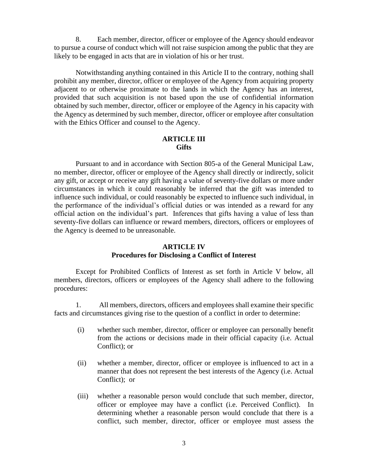8. Each member, director, officer or employee of the Agency should endeavor to pursue a course of conduct which will not raise suspicion among the public that they are likely to be engaged in acts that are in violation of his or her trust.

Notwithstanding anything contained in this Article II to the contrary, nothing shall prohibit any member, director, officer or employee of the Agency from acquiring property adjacent to or otherwise proximate to the lands in which the Agency has an interest, provided that such acquisition is not based upon the use of confidential information obtained by such member, director, officer or employee of the Agency in his capacity with the Agency as determined by such member, director, officer or employee after consultation with the Ethics Officer and counsel to the Agency.

#### **ARTICLE III Gifts**

Pursuant to and in accordance with Section 805-a of the General Municipal Law, no member, director, officer or employee of the Agency shall directly or indirectly, solicit any gift, or accept or receive any gift having a value of seventy-five dollars or more under circumstances in which it could reasonably be inferred that the gift was intended to influence such individual, or could reasonably be expected to influence such individual, in the performance of the individual's official duties or was intended as a reward for any official action on the individual's part. Inferences that gifts having a value of less than seventy-five dollars can influence or reward members, directors, officers or employees of the Agency is deemed to be unreasonable.

## **ARTICLE IV Procedures for Disclosing a Conflict of Interest**

Except for Prohibited Conflicts of Interest as set forth in Article V below, all members, directors, officers or employees of the Agency shall adhere to the following procedures:

1. All members, directors, officers and employees shall examine their specific facts and circumstances giving rise to the question of a conflict in order to determine:

- (i) whether such member, director, officer or employee can personally benefit from the actions or decisions made in their official capacity (i.e. Actual Conflict); or
- (ii) whether a member, director, officer or employee is influenced to act in a manner that does not represent the best interests of the Agency (i.e. Actual Conflict); or
- (iii) whether a reasonable person would conclude that such member, director, officer or employee may have a conflict (i.e. Perceived Conflict). In determining whether a reasonable person would conclude that there is a conflict, such member, director, officer or employee must assess the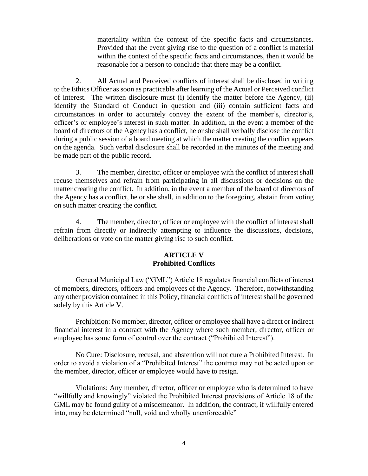materiality within the context of the specific facts and circumstances. Provided that the event giving rise to the question of a conflict is material within the context of the specific facts and circumstances, then it would be reasonable for a person to conclude that there may be a conflict.

2. All Actual and Perceived conflicts of interest shall be disclosed in writing to the Ethics Officer as soon as practicable after learning of the Actual or Perceived conflict of interest. The written disclosure must (i) identify the matter before the Agency, (ii) identify the Standard of Conduct in question and (iii) contain sufficient facts and circumstances in order to accurately convey the extent of the member's, director's, officer's or employee's interest in such matter. In addition, in the event a member of the board of directors of the Agency has a conflict, he or she shall verbally disclose the conflict during a public session of a board meeting at which the matter creating the conflict appears on the agenda. Such verbal disclosure shall be recorded in the minutes of the meeting and be made part of the public record.

3. The member, director, officer or employee with the conflict of interest shall recuse themselves and refrain from participating in all discussions or decisions on the matter creating the conflict. In addition, in the event a member of the board of directors of the Agency has a conflict, he or she shall, in addition to the foregoing, abstain from voting on such matter creating the conflict.

4. The member, director, officer or employee with the conflict of interest shall refrain from directly or indirectly attempting to influence the discussions, decisions, deliberations or vote on the matter giving rise to such conflict.

# **ARTICLE V Prohibited Conflicts**

General Municipal Law ("GML") Article 18 regulates financial conflicts of interest of members, directors, officers and employees of the Agency. Therefore, notwithstanding any other provision contained in this Policy, financial conflicts of interest shall be governed solely by this Article V.

Prohibition: No member, director, officer or employee shall have a direct or indirect financial interest in a contract with the Agency where such member, director, officer or employee has some form of control over the contract ("Prohibited Interest").

No Cure: Disclosure, recusal, and abstention will not cure a Prohibited Interest. In order to avoid a violation of a "Prohibited Interest" the contract may not be acted upon or the member, director, officer or employee would have to resign.

Violations: Any member, director, officer or employee who is determined to have "willfully and knowingly" violated the Prohibited Interest provisions of Article 18 of the GML may be found guilty of a misdemeanor. In addition, the contract, if willfully entered into, may be determined "null, void and wholly unenforceable"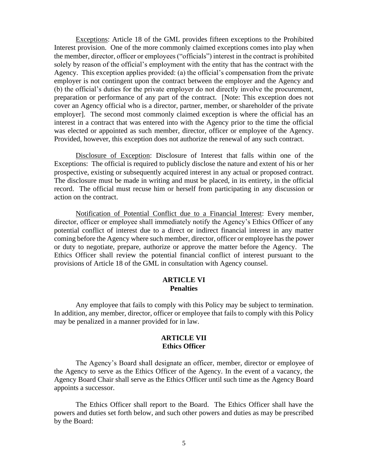Exceptions: Article 18 of the GML provides fifteen exceptions to the Prohibited Interest provision. One of the more commonly claimed exceptions comes into play when the member, director, officer or employees ("officials") interest in the contract is prohibited solely by reason of the official's employment with the entity that has the contract with the Agency. This exception applies provided: (a) the official's compensation from the private employer is not contingent upon the contract between the employer and the Agency and (b) the official's duties for the private employer do not directly involve the procurement, preparation or performance of any part of the contract. [Note: This exception does not cover an Agency official who is a director, partner, member, or shareholder of the private employer]. The second most commonly claimed exception is where the official has an interest in a contract that was entered into with the Agency prior to the time the official was elected or appointed as such member, director, officer or employee of the Agency. Provided, however, this exception does not authorize the renewal of any such contract.

Disclosure of Exception: Disclosure of Interest that falls within one of the Exceptions: The official is required to publicly disclose the nature and extent of his or her prospective, existing or subsequently acquired interest in any actual or proposed contract. The disclosure must be made in writing and must be placed, in its entirety, in the official record. The official must recuse him or herself from participating in any discussion or action on the contract.

Notification of Potential Conflict due to a Financial Interest: Every member, director, officer or employee shall immediately notify the Agency's Ethics Officer of any potential conflict of interest due to a direct or indirect financial interest in any matter coming before the Agency where such member, director, officer or employee has the power or duty to negotiate, prepare, authorize or approve the matter before the Agency. The Ethics Officer shall review the potential financial conflict of interest pursuant to the provisions of Article 18 of the GML in consultation with Agency counsel.

#### **ARTICLE VI Penalties**

Any employee that fails to comply with this Policy may be subject to termination. In addition, any member, director, officer or employee that fails to comply with this Policy may be penalized in a manner provided for in law.

### **ARTICLE VII Ethics Officer**

The Agency's Board shall designate an officer, member, director or employee of the Agency to serve as the Ethics Officer of the Agency. In the event of a vacancy, the Agency Board Chair shall serve as the Ethics Officer until such time as the Agency Board appoints a successor.

The Ethics Officer shall report to the Board. The Ethics Officer shall have the powers and duties set forth below, and such other powers and duties as may be prescribed by the Board: